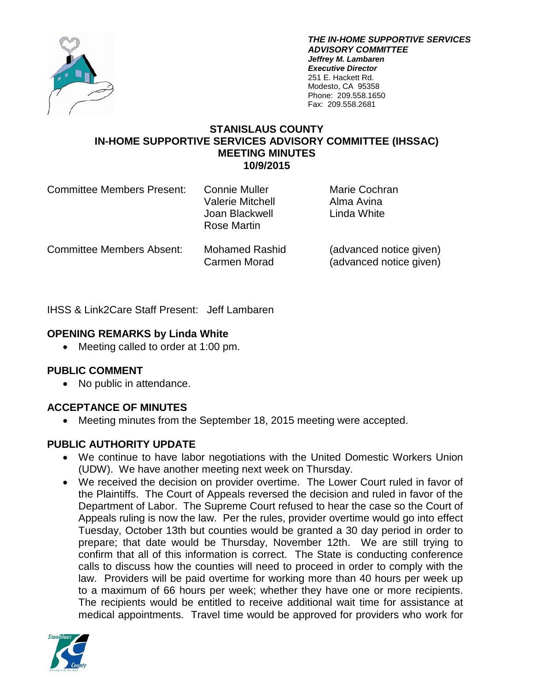

*THE IN-HOME SUPPORTIVE SERVICES ADVISORY COMMITTEE Jeffrey M. Lambaren Executive Director* 251 E. Hackett Rd. Modesto, CA 95358 Phone: 209.558.1650 Fax: 209.558.2681

#### **STANISLAUS COUNTY IN-HOME SUPPORTIVE SERVICES ADVISORY COMMITTEE (IHSSAC) MEETING MINUTES 10/9/2015**

| <b>Committee Members Present:</b> | <b>Connie Muller</b><br><b>Valerie Mitchell</b><br>Joan Blackwell<br>Rose Martin | Marie Cochran<br>Alma Avina<br>Linda White         |
|-----------------------------------|----------------------------------------------------------------------------------|----------------------------------------------------|
| <b>Committee Members Absent:</b>  | <b>Mohamed Rashid</b><br>Carmen Morad                                            | (advanced notice given)<br>(advanced notice given) |

IHSS & Link2Care Staff Present: Jeff Lambaren

## **OPENING REMARKS by Linda White**

• Meeting called to order at 1:00 pm.

# **PUBLIC COMMENT**

• No public in attendance.

# **ACCEPTANCE OF MINUTES**

• Meeting minutes from the September 18, 2015 meeting were accepted.

### **PUBLIC AUTHORITY UPDATE**

- We continue to have labor negotiations with the United Domestic Workers Union (UDW). We have another meeting next week on Thursday.
- We received the decision on provider overtime. The Lower Court ruled in favor of the Plaintiffs. The Court of Appeals reversed the decision and ruled in favor of the Department of Labor. The Supreme Court refused to hear the case so the Court of Appeals ruling is now the law. Per the rules, provider overtime would go into effect Tuesday, October 13th but counties would be granted a 30 day period in order to prepare; that date would be Thursday, November 12th. We are still trying to confirm that all of this information is correct. The State is conducting conference calls to discuss how the counties will need to proceed in order to comply with the law. Providers will be paid overtime for working more than 40 hours per week up to a maximum of 66 hours per week; whether they have one or more recipients. The recipients would be entitled to receive additional wait time for assistance at medical appointments. Travel time would be approved for providers who work for

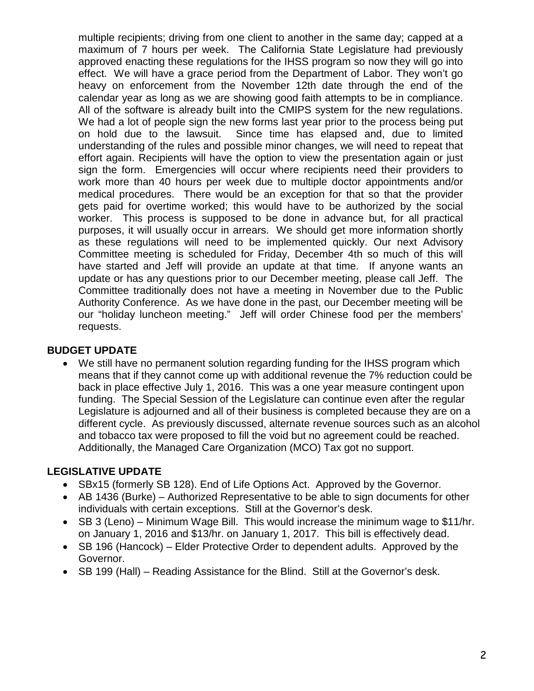multiple recipients; driving from one client to another in the same day; capped at a maximum of 7 hours per week. The California State Legislature had previously approved enacting these regulations for the IHSS program so now they will go into effect. We will have a grace period from the Department of Labor. They won't go heavy on enforcement from the November 12th date through the end of the calendar year as long as we are showing good faith attempts to be in compliance. All of the software is already built into the CMIPS system for the new regulations. We had a lot of people sign the new forms last year prior to the process being put on hold due to the lawsuit. Since time has elapsed and, due to limited understanding of the rules and possible minor changes, we will need to repeat that effort again. Recipients will have the option to view the presentation again or just sign the form. Emergencies will occur where recipients need their providers to work more than 40 hours per week due to multiple doctor appointments and/or medical procedures. There would be an exception for that so that the provider gets paid for overtime worked; this would have to be authorized by the social worker. This process is supposed to be done in advance but, for all practical purposes, it will usually occur in arrears. We should get more information shortly as these regulations will need to be implemented quickly. Our next Advisory Committee meeting is scheduled for Friday, December 4th so much of this will have started and Jeff will provide an update at that time. If anyone wants an update or has any questions prior to our December meeting, please call Jeff. The Committee traditionally does not have a meeting in November due to the Public Authority Conference. As we have done in the past, our December meeting will be our "holiday luncheon meeting." Jeff will order Chinese food per the members' requests.

#### **BUDGET UPDATE**

• We still have no permanent solution regarding funding for the IHSS program which means that if they cannot come up with additional revenue the 7% reduction could be back in place effective July 1, 2016. This was a one year measure contingent upon funding. The Special Session of the Legislature can continue even after the regular Legislature is adjourned and all of their business is completed because they are on a different cycle. As previously discussed, alternate revenue sources such as an alcohol and tobacco tax were proposed to fill the void but no agreement could be reached. Additionally, the Managed Care Organization (MCO) Tax got no support.

### **LEGISLATIVE UPDATE**

- SBx15 (formerly SB 128). End of Life Options Act. Approved by the Governor.
- AB 1436 (Burke) Authorized Representative to be able to sign documents for other individuals with certain exceptions. Still at the Governor's desk.
- SB 3 (Leno) Minimum Wage Bill. This would increase the minimum wage to \$11/hr. on January 1, 2016 and \$13/hr. on January 1, 2017. This bill is effectively dead.
- SB 196 (Hancock) Elder Protective Order to dependent adults. Approved by the Governor.
- SB 199 (Hall) Reading Assistance for the Blind. Still at the Governor's desk.